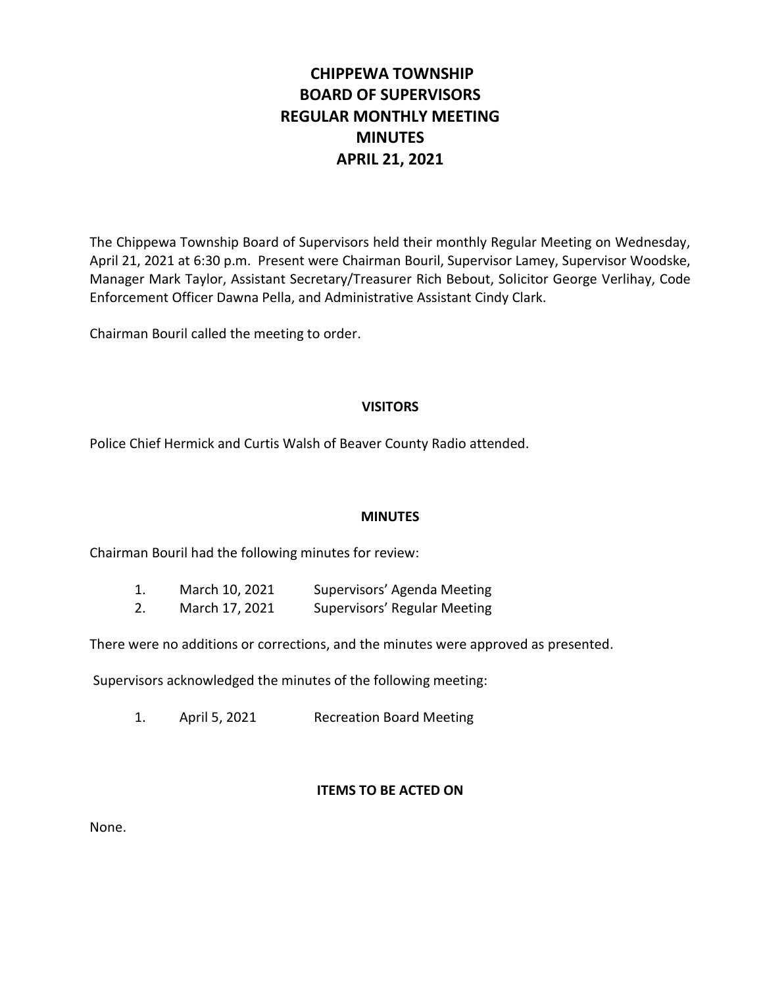# **CHIPPEWA TOWNSHIP BOARD OF SUPERVISORS REGULAR MONTHLY MEETING MINUTES APRIL 21, 2021**

The Chippewa Township Board of Supervisors held their monthly Regular Meeting on Wednesday, April 21, 2021 at 6:30 p.m. Present were Chairman Bouril, Supervisor Lamey, Supervisor Woodske, Manager Mark Taylor, Assistant Secretary/Treasurer Rich Bebout, Solicitor George Verlihay, Code Enforcement Officer Dawna Pella, and Administrative Assistant Cindy Clark.

Chairman Bouril called the meeting to order.

# **VISITORS**

Police Chief Hermick and Curtis Walsh of Beaver County Radio attended.

## **MINUTES**

Chairman Bouril had the following minutes for review:

| 1. | March 10, 2021 | Supervisors' Agenda Meeting  |
|----|----------------|------------------------------|
| 2. | March 17, 2021 | Supervisors' Regular Meeting |

There were no additions or corrections, and the minutes were approved as presented.

Supervisors acknowledged the minutes of the following meeting:

1. April 5, 2021 Recreation Board Meeting

## **ITEMS TO BE ACTED ON**

None.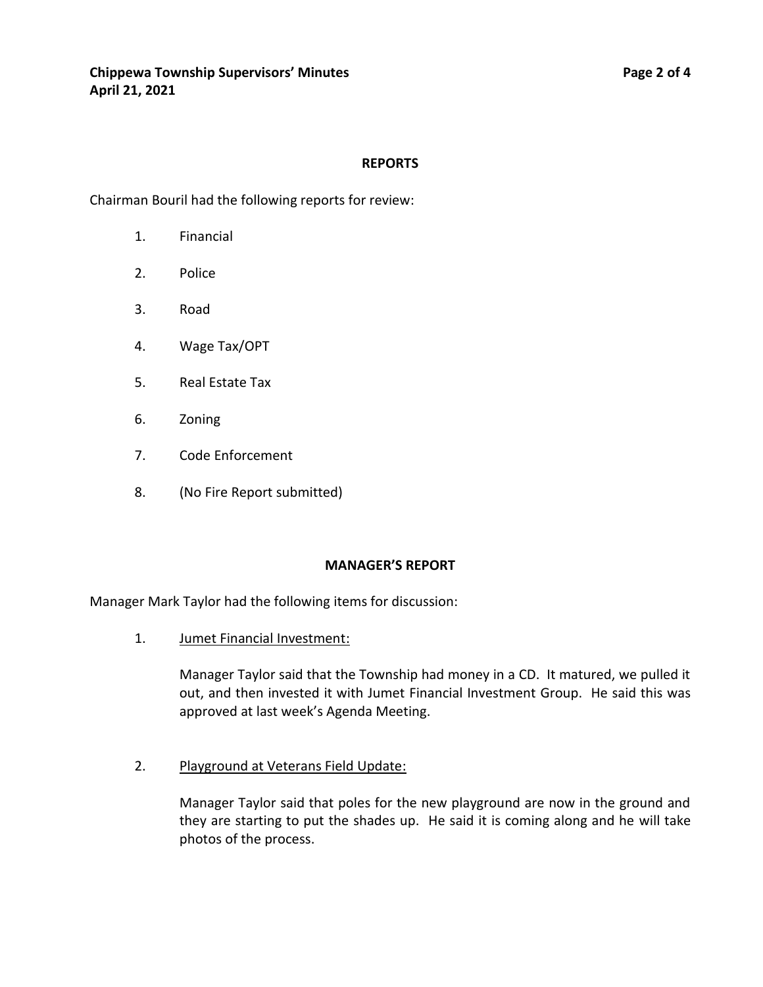## **REPORTS**

Chairman Bouril had the following reports for review:

- 1. Financial
- 2. Police
- 3. Road
- 4. Wage Tax/OPT
- 5. Real Estate Tax
- 6. Zoning
- 7. Code Enforcement
- 8. (No Fire Report submitted)

## **MANAGER'S REPORT**

Manager Mark Taylor had the following items for discussion:

1. Jumet Financial Investment:

Manager Taylor said that the Township had money in a CD. It matured, we pulled it out, and then invested it with Jumet Financial Investment Group. He said this was approved at last week's Agenda Meeting.

2. Playground at Veterans Field Update:

Manager Taylor said that poles for the new playground are now in the ground and they are starting to put the shades up. He said it is coming along and he will take photos of the process.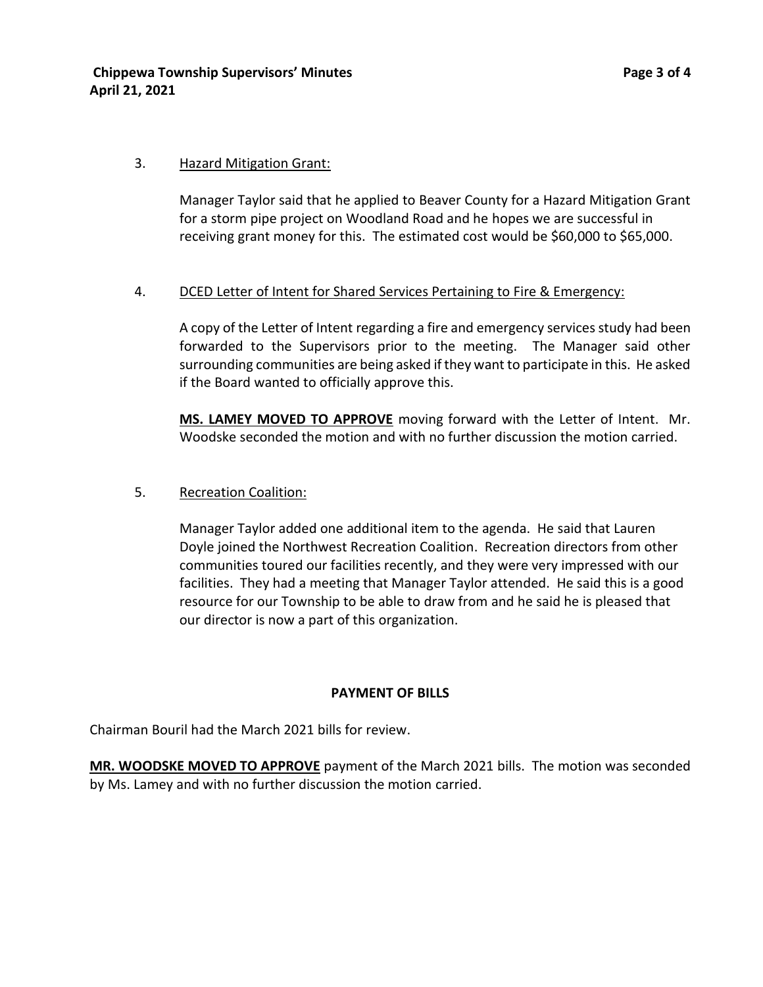# 3. Hazard Mitigation Grant:

Manager Taylor said that he applied to Beaver County for a Hazard Mitigation Grant for a storm pipe project on Woodland Road and he hopes we are successful in receiving grant money for this. The estimated cost would be \$60,000 to \$65,000.

# 4. DCED Letter of Intent for Shared Services Pertaining to Fire & Emergency:

A copy of the Letter of Intent regarding a fire and emergency services study had been forwarded to the Supervisors prior to the meeting. The Manager said other surrounding communities are being asked if they want to participate in this. He asked if the Board wanted to officially approve this.

**MS. LAMEY MOVED TO APPROVE** moving forward with the Letter of Intent. Mr. Woodske seconded the motion and with no further discussion the motion carried.

# 5. Recreation Coalition:

Manager Taylor added one additional item to the agenda. He said that Lauren Doyle joined the Northwest Recreation Coalition. Recreation directors from other communities toured our facilities recently, and they were very impressed with our facilities. They had a meeting that Manager Taylor attended. He said this is a good resource for our Township to be able to draw from and he said he is pleased that our director is now a part of this organization.

# **PAYMENT OF BILLS**

Chairman Bouril had the March 2021 bills for review.

**MR. WOODSKE MOVED TO APPROVE** payment of the March 2021 bills. The motion was seconded by Ms. Lamey and with no further discussion the motion carried.